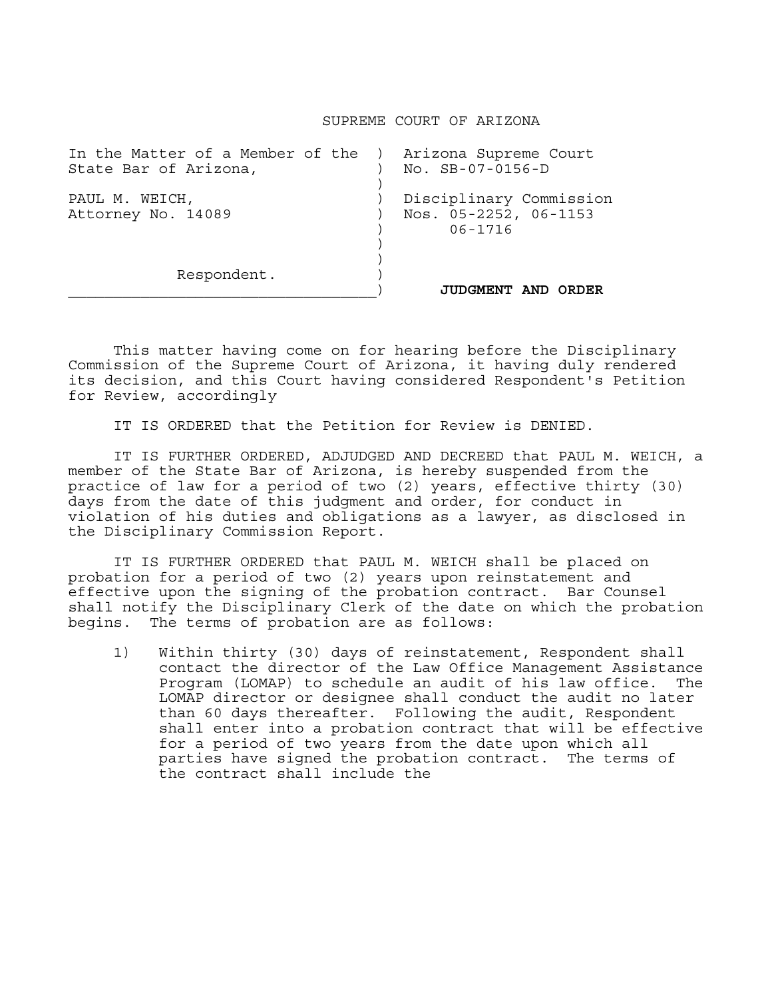## SUPREME COURT OF ARIZONA

| In the Matter of a Member of the )<br>State Bar of Arizona, | Arizona Supreme Court<br>$NO.$ $SB-07-0156-D$                   |
|-------------------------------------------------------------|-----------------------------------------------------------------|
| PAUL M. WEICH,<br>Attorney No. 14089                        | Disciplinary Commission<br>Nos. 05-2252, 06-1153<br>$06 - 1716$ |
| Respondent.                                                 | <b>JUDGMENT AND</b><br>ORDER                                    |

 This matter having come on for hearing before the Disciplinary Commission of the Supreme Court of Arizona, it having duly rendered its decision, and this Court having considered Respondent's Petition for Review, accordingly

IT IS ORDERED that the Petition for Review is DENIED.

 IT IS FURTHER ORDERED, ADJUDGED AND DECREED that PAUL M. WEICH, a member of the State Bar of Arizona, is hereby suspended from the practice of law for a period of two (2) years, effective thirty (30) days from the date of this judgment and order, for conduct in violation of his duties and obligations as a lawyer, as disclosed in the Disciplinary Commission Report.

 IT IS FURTHER ORDERED that PAUL M. WEICH shall be placed on probation for a period of two (2) years upon reinstatement and effective upon the signing of the probation contract. Bar Counsel shall notify the Disciplinary Clerk of the date on which the probation begins. The terms of probation are as follows:

1) Within thirty (30) days of reinstatement, Respondent shall contact the director of the Law Office Management Assistance Program (LOMAP) to schedule an audit of his law office. The LOMAP director or designee shall conduct the audit no later than 60 days thereafter. Following the audit, Respondent shall enter into a probation contract that will be effective for a period of two years from the date upon which all parties have signed the probation contract. The terms of the contract shall include the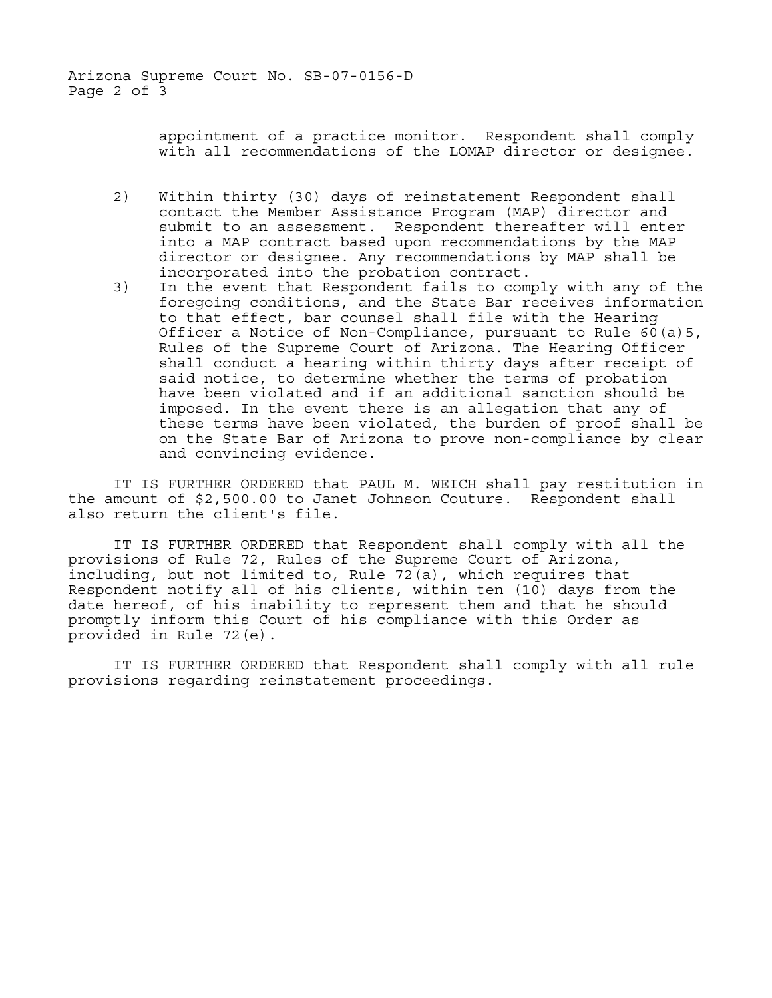Arizona Supreme Court No. SB-07-0156-D Page 2 of 3

> appointment of a practice monitor. Respondent shall comply with all recommendations of the LOMAP director or designee.

- 2) Within thirty (30) days of reinstatement Respondent shall contact the Member Assistance Program (MAP) director and submit to an assessment. Respondent thereafter will enter into a MAP contract based upon recommendations by the MAP director or designee. Any recommendations by MAP shall be incorporated into the probation contract.
- 3) In the event that Respondent fails to comply with any of the foregoing conditions, and the State Bar receives information to that effect, bar counsel shall file with the Hearing Officer a Notice of Non-Compliance, pursuant to Rule 60(a)5, Rules of the Supreme Court of Arizona. The Hearing Officer shall conduct a hearing within thirty days after receipt of said notice, to determine whether the terms of probation have been violated and if an additional sanction should be imposed. In the event there is an allegation that any of these terms have been violated, the burden of proof shall be on the State Bar of Arizona to prove non-compliance by clear and convincing evidence.

 IT IS FURTHER ORDERED that PAUL M. WEICH shall pay restitution in the amount of \$2,500.00 to Janet Johnson Couture. Respondent shall also return the client's file.

 IT IS FURTHER ORDERED that Respondent shall comply with all the provisions of Rule 72, Rules of the Supreme Court of Arizona, including, but not limited to, Rule 72(a), which requires that Respondent notify all of his clients, within ten (10) days from the date hereof, of his inability to represent them and that he should promptly inform this Court of his compliance with this Order as provided in Rule 72(e).

 IT IS FURTHER ORDERED that Respondent shall comply with all rule provisions regarding reinstatement proceedings.